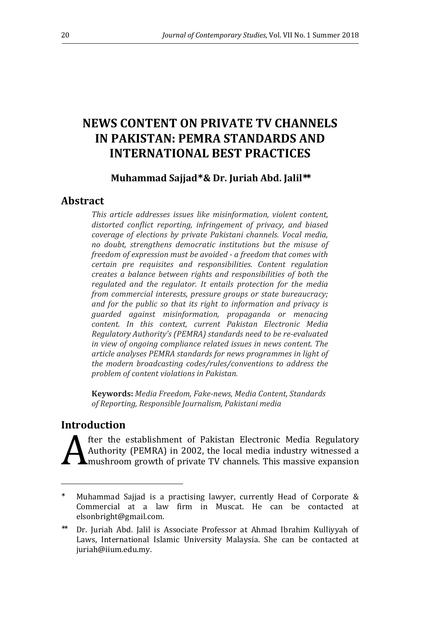# **NEWS CONTENT ON PRIVATE TV CHANNELS IN PAKISTAN: PEMRA STANDARDS AND INTERNATIONAL BEST PRACTICES**

# **Muhammad Sajjad**<sup>∗</sup>  **& Dr. Juriah Abd. Jalil**∗∗

# **Abstract**

*This article addresses issues like misinformation, violent content, distorted conflict reporting, infringement of privacy, and biased coverage of elections by private Pakistani channels. Vocal media, no doubt, strengthens democratic institutions but the misuse of freedom of expression must be avoided - a freedom that comes with certain pre requisites and responsibilities. Content regulation creates a balance between rights and responsibilities of both the regulated and the regulator. It entails protection for the media from commercial interests, pressure groups or state bureaucracy; and for the public so that its right to information and privacy is guarded against misinformation, propaganda or menacing content. In this context, current Pakistan Electronic Media Regulatory Authority's (PEMRA) standards need to be re-evaluated in view of ongoing compliance related issues in news content. The article analyses PEMRA standards for news programmes in light of the modern broadcasting codes/rules/conventions to address the problem of content violations in Pakistan.* 

**Keywords:** *Media Freedom, Fake-news, Media Content, Standards of Reporting, Responsible Journalism, Pakistani media* 

# **Introduction**

 $\overline{a}$ 

fter the establishment of Pakistan Electronic Media Regulatory Authority (PEMRA) in 2002, the local media industry witnessed a mushroom growth of private TV channels. This massive expansion A

<sup>∗</sup> Muhammad Sajjad is a practising lawyer, currently Head of Corporate & Commercial at a law firm in Muscat. He can be contacted at elsonbright@gmail.com.

<sup>∗∗</sup> Dr. Juriah Abd. Jalil is Associate Professor at Ahmad Ibrahim Kulliyyah of Laws, International Islamic University Malaysia. She can be contacted at juriah@iium.edu.my.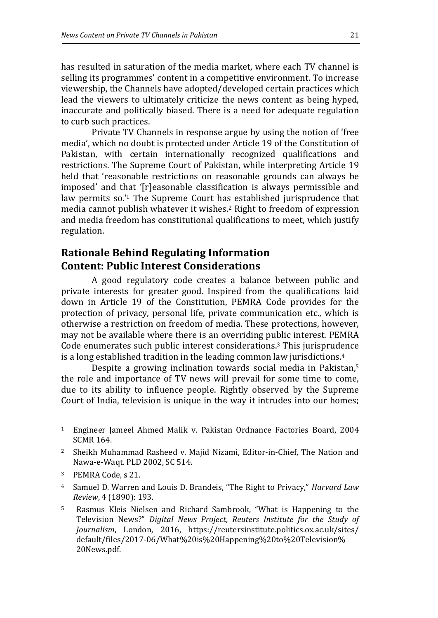has resulted in saturation of the media market, where each TV channel is selling its programmes' content in a competitive environment. To increase viewership, the Channels have adopted/developed certain practices which lead the viewers to ultimately criticize the news content as being hyped, inaccurate and politically biased. There is a need for adequate regulation to curb such practices.

Private TV Channels in response argue by using the notion of 'free media', which no doubt is protected under Article 19 of the Constitution of Pakistan, with certain internationally recognized qualifications and restrictions. The Supreme Court of Pakistan, while interpreting Article 19 held that 'reasonable restrictions on reasonable grounds can always be imposed' and that '[r]easonable classification is always permissible and law permits so.'1 The Supreme Court has established jurisprudence that media cannot publish whatever it wishes.2 Right to freedom of expression and media freedom has constitutional qualifications to meet, which justify regulation.

# **Rationale Behind Regulating Information Content: Public Interest Considerations**

A good regulatory code creates a balance between public and private interests for greater good. Inspired from the qualifications laid down in Article 19 of the Constitution, PEMRA Code provides for the protection of privacy, personal life, private communication etc., which is otherwise a restriction on freedom of media. These protections, however, may not be available where there is an overriding public interest. PEMRA Code enumerates such public interest considerations. <sup>3</sup> This jurisprudence is a long established tradition in the leading common law jurisdictions.<sup>4</sup>

Despite a growing inclination towards social media in Pakistan,<sup>5</sup> the role and importance of TV news will prevail for some time to come, due to its ability to influence people. Rightly observed by the Supreme Court of India, television is unique in the way it intrudes into our homes;

<sup>3</sup> PEMRA Code, s 21.

l

<sup>1</sup> Engineer Jameel Ahmed Malik v. Pakistan Ordnance Factories Board, 2004 SCMR 164.

<sup>&</sup>lt;sup>2</sup> Sheikh Muhammad Rasheed v. Majid Nizami, Editor-in-Chief, The Nation and Nawa-e-Waqt. PLD 2002, SC 514.

<sup>4</sup> Samuel D. Warren and Louis D. Brandeis, "The Right to Privacy," *Harvard Law Review*, 4 (1890): 193.

<sup>5</sup> Rasmus Kleis Nielsen and Richard Sambrook, "What is Happening to the Television News?" *Digital News Project*, *Reuters Institute for the Study of Journalism*, London, 2016, https://reutersinstitute.politics.ox.ac.uk/sites/ default/files/2017-06/What%20is%20Happening%20to%20Television% 20News.pdf.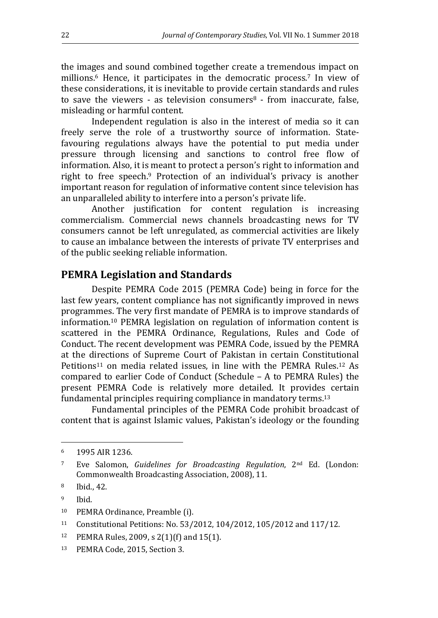the images and sound combined together create a tremendous impact on millions.6 Hence, it participates in the democratic process.7 In view of these considerations, it is inevitable to provide certain standards and rules to save the viewers - as television consumers $\delta$  - from inaccurate, false, misleading or harmful content.

Independent regulation is also in the interest of media so it can freely serve the role of a trustworthy source of information. Statefavouring regulations always have the potential to put media under pressure through licensing and sanctions to control free flow of information. Also, it is meant to protect a person's right to information and right to free speech.9 Protection of an individual's privacy is another important reason for regulation of informative content since television has an unparalleled ability to interfere into a person's private life.

Another justification for content regulation is increasing commercialism. Commercial news channels broadcasting news for TV consumers cannot be left unregulated, as commercial activities are likely to cause an imbalance between the interests of private TV enterprises and of the public seeking reliable information.

### **PEMRA Legislation and Standards**

Despite PEMRA Code 2015 (PEMRA Code) being in force for the last few years, content compliance has not significantly improved in news programmes. The very first mandate of PEMRA is to improve standards of information.10 PEMRA legislation on regulation of information content is scattered in the PEMRA Ordinance, Regulations, Rules and Code of Conduct. The recent development was PEMRA Code, issued by the PEMRA at the directions of Supreme Court of Pakistan in certain Constitutional Petitions11 on media related issues, in line with the PEMRA Rules.12 As compared to earlier Code of Conduct (Schedule – A to PEMRA Rules) the present PEMRA Code is relatively more detailed. It provides certain fundamental principles requiring compliance in mandatory terms.<sup>13</sup>

Fundamental principles of the PEMRA Code prohibit broadcast of content that is against Islamic values, Pakistan's ideology or the founding

l

<sup>6</sup> 1995 AIR 1236.

<sup>7</sup> Eve Salomon, *Guidelines for Broadcasting Regulation*, 2nd Ed. (London: Commonwealth Broadcasting Association, 2008), 11.

<sup>8</sup> Ibid., 42.

<sup>9</sup> Ibid.

<sup>10</sup> PEMRA Ordinance, Preamble (i).

<sup>11</sup> Constitutional Petitions: No. 53/2012, 104/2012, 105/2012 and 117/12.

<sup>12</sup> PEMRA Rules, 2009, s 2(1)(f) and 15(1).

<sup>13</sup> PEMRA Code, 2015, Section 3.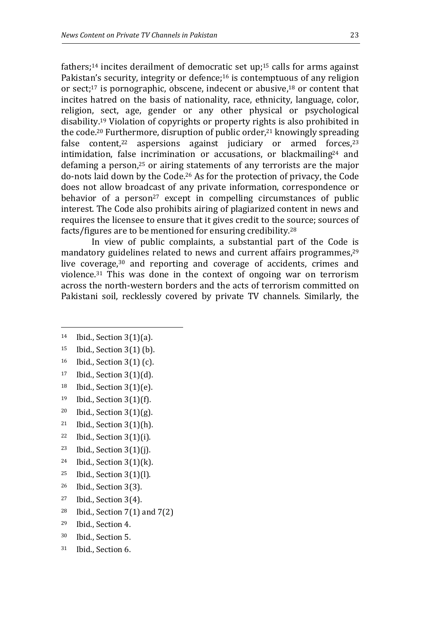fathers;<sup>14</sup> incites derailment of democratic set up;<sup>15</sup> calls for arms against Pakistan's security, integrity or defence;<sup>16</sup> is contemptuous of any religion or sect;<sup>17</sup> is pornographic, obscene, indecent or abusive,  $18$  or content that incites hatred on the basis of nationality, race, ethnicity, language, color, religion, sect, age, gender or any other physical or psychological disability.19 Violation of copyrights or property rights is also prohibited in the code.20 Furthermore, disruption of public order,21 knowingly spreading false content,<sup>22</sup> aspersions against judiciary or armed forces,<sup>23</sup> intimidation, false incrimination or accusations, or blackmailing<sup>24</sup> and defaming a person,25 or airing statements of any terrorists are the major do-nots laid down by the Code.26 As for the protection of privacy, the Code does not allow broadcast of any private information, correspondence or behavior of a person<sup>27</sup> except in compelling circumstances of public interest. The Code also prohibits airing of plagiarized content in news and requires the licensee to ensure that it gives credit to the source; sources of facts/figures are to be mentioned for ensuring credibility.<sup>28</sup>

In view of public complaints, a substantial part of the Code is mandatory guidelines related to news and current affairs programmes,<sup>29</sup> live coverage,<sup>30</sup> and reporting and coverage of accidents, crimes and violence.31 This was done in the context of ongoing war on terrorism across the north-western borders and the acts of terrorism committed on Pakistani soil, recklessly covered by private TV channels. Similarly, the

- <sup>17</sup> Ibid., Section 3(1)(d).
- $18$  Ibid., Section 3(1)(e).
- <sup>19</sup> Ibid., Section 3(1)(f).
- <sup>20</sup> Ibid., Section 3(1)(g).
- <sup>21</sup> Ibid., Section 3(1)(h).
- $22$  Ibid., Section 3(1)(i).
- <sup>23</sup> Ibid., Section  $3(1)(j)$ .
- $24$  Ibid., Section 3(1)(k).
- <sup>25</sup> Ibid., Section 3(1)(l).
- <sup>26</sup> Ibid., Section 3(3).
- $27$  Ibid., Section 3(4).
- <sup>28</sup> Ibid., Section  $7(1)$  and  $7(2)$
- <sup>29</sup> Ibid., Section 4.
- <sup>30</sup> Ibid., Section 5.
- 31 Ibid., Section 6.

 $14$  Ibid., Section 3(1)(a).

<sup>15</sup> Ibid., Section 3(1) (b).

<sup>16</sup> Ibid., Section 3(1) (c).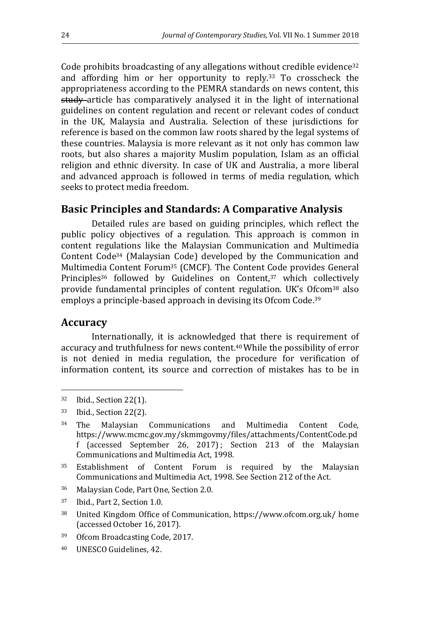Code prohibits broadcasting of any allegations without credible evidence<sup>32</sup> and affording him or her opportunity to reply.33 To crosscheck the appropriateness according to the PEMRA standards on news content, this study article has comparatively analysed it in the light of international guidelines on content regulation and recent or relevant codes of conduct in the UK, Malaysia and Australia. Selection of these jurisdictions for reference is based on the common law roots shared by the legal systems of these countries. Malaysia is more relevant as it not only has common law roots, but also shares a majority Muslim population, Islam as an official religion and ethnic diversity. In case of UK and Australia, a more liberal and advanced approach is followed in terms of media regulation, which seeks to protect media freedom.

### **Basic Principles and Standards: A Comparative Analysis**

Detailed rules are based on guiding principles, which reflect the public policy objectives of a regulation. This approach is common in content regulations like the Malaysian Communication and Multimedia Content Code34 (Malaysian Code) developed by the Communication and Multimedia Content Forum35 (CMCF). The Content Code provides General Principles<sup>36</sup> followed by Guidelines on Content,<sup>37</sup> which collectively provide fundamental principles of content regulation. UK's Ofcom38 also employs a principle-based approach in devising its Ofcom Code.<sup>39</sup>

#### **Accuracy**

 $\overline{a}$ 

Internationally, it is acknowledged that there is requirement of accuracy and truthfulness for news content.40 While the possibility of error is not denied in media regulation, the procedure for verification of information content, its source and correction of mistakes has to be in

- <sup>36</sup> Malaysian Code, Part One, Section 2.0.
- <sup>37</sup> Ibid., Part 2, Section 1.0.
- <sup>38</sup> United Kingdom Office of Communication, https://www.ofcom.org.uk/ home (accessed October 16, 2017).
- <sup>39</sup> Ofcom Broadcasting Code, 2017.
- 40 UNESCO Guidelines, 42.

<sup>32</sup> Ibid., Section 22(1).

<sup>33</sup> Ibid., Section 22(2).

<sup>34</sup> The Malaysian Communications and Multimedia Content Code, https://www.mcmc.gov.my/skmmgovmy/files/attachments/ContentCode.pd f (accessed September 26, 2017) ; Section 213 of the Malaysian Communications and Multimedia Act, 1998.

<sup>35</sup> Establishment of Content Forum is required by the Malaysian Communications and Multimedia Act, 1998. See Section 212 of the Act.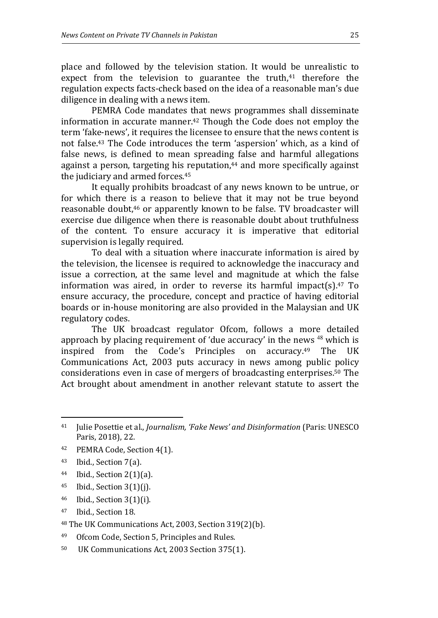place and followed by the television station. It would be unrealistic to expect from the television to guarantee the truth, $41$  therefore the regulation expects facts-check based on the idea of a reasonable man's due diligence in dealing with a news item.

PEMRA Code mandates that news programmes shall disseminate information in accurate manner.42 Though the Code does not employ the term 'fake-news', it requires the licensee to ensure that the news content is not false.43 The Code introduces the term 'aspersion' which, as a kind of false news, is defined to mean spreading false and harmful allegations against a person, targeting his reputation,<sup>44</sup> and more specifically against the judiciary and armed forces.<sup>45</sup>

It equally prohibits broadcast of any news known to be untrue, or for which there is a reason to believe that it may not be true beyond reasonable doubt,<sup>46</sup> or apparently known to be false. TV broadcaster will exercise due diligence when there is reasonable doubt about truthfulness of the content. To ensure accuracy it is imperative that editorial supervision is legally required.

To deal with a situation where inaccurate information is aired by the television, the licensee is required to acknowledge the inaccuracy and issue a correction, at the same level and magnitude at which the false information was aired, in order to reverse its harmful impact(s). $47$  To ensure accuracy, the procedure, concept and practice of having editorial boards or in-house monitoring are also provided in the Malaysian and UK regulatory codes.

The UK broadcast regulator Ofcom, follows a more detailed approach by placing requirement of 'due accuracy' in the news  $48$  which is inspired from the Code's Principles on accuracy.49 The UK Communications Act, 2003 puts accuracy in news among public policy considerations even in case of mergers of broadcasting enterprises.50 The Act brought about amendment in another relevant statute to assert the

<sup>43</sup> Ibid., Section 7(a).

- <sup>44</sup> Ibid., Section 2(1)(a).
- <sup>45</sup> Ibid., Section 3(1)(j).
- <sup>46</sup> Ibid., Section 3(1)(i).
- <sup>47</sup> Ibid., Section 18.
- <sup>48</sup> The UK Communications Act, 2003, Section 319(2)(b).
- <sup>49</sup> Ofcom Code, Section 5, Principles and Rules.
- 50 UK Communications Act, 2003 Section 375(1).

<sup>41</sup> Julie Posettie et al., *Journalism, 'Fake News' and Disinformation* (Paris: UNESCO Paris, 2018), 22.

<sup>42</sup> PEMRA Code, Section 4(1).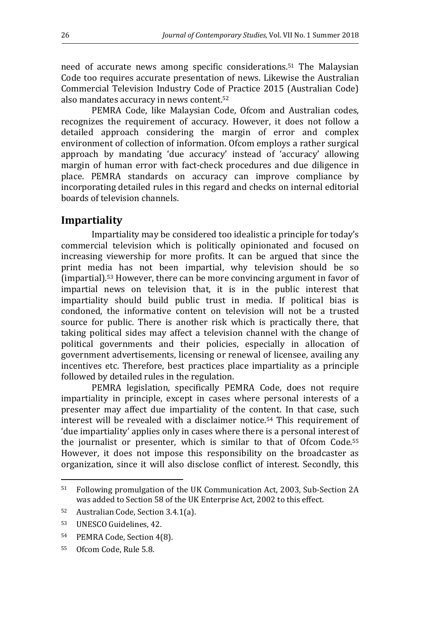need of accurate news among specific considerations. <sup>51</sup> The Malaysian Code too requires accurate presentation of news. Likewise the Australian Commercial Television Industry Code of Practice 2015 (Australian Code) also mandates accuracy in news content.<sup>52</sup>

PEMRA Code, like Malaysian Code, Ofcom and Australian codes, recognizes the requirement of accuracy. However, it does not follow a detailed approach considering the margin of error and complex environment of collection of information. Ofcom employs a rather surgical approach by mandating 'due accuracy' instead of 'accuracy' allowing margin of human error with fact-check procedures and due diligence in place. PEMRA standards on accuracy can improve compliance by incorporating detailed rules in this regard and checks on internal editorial boards of television channels.

### **Impartiality**

Impartiality may be considered too idealistic a principle for today's commercial television which is politically opinionated and focused on increasing viewership for more profits. It can be argued that since the print media has not been impartial, why television should be so (impartial).53 However, there can be more convincing argument in favor of impartial news on television that, it is in the public interest that impartiality should build public trust in media. If political bias is condoned, the informative content on television will not be a trusted source for public. There is another risk which is practically there, that taking political sides may affect a television channel with the change of political governments and their policies, especially in allocation of government advertisements, licensing or renewal of licensee, availing any incentives etc. Therefore, best practices place impartiality as a principle followed by detailed rules in the regulation.

PEMRA legislation, specifically PEMRA Code, does not require impartiality in principle, except in cases where personal interests of a presenter may affect due impartiality of the content. In that case, such interest will be revealed with a disclaimer notice.54 This requirement of 'due impartiality' applies only in cases where there is a personal interest of the journalist or presenter, which is similar to that of Ofcom Code.<sup>55</sup> However, it does not impose this responsibility on the broadcaster as organization, since it will also disclose conflict of interest. Secondly, this

<sup>51</sup> Following promulgation of the UK Communication Act, 2003, Sub-Section 2A was added to Section 58 of the UK Enterprise Act, 2002 to this effect.

<sup>52</sup> Australian Code, Section 3.4.1(a).

<sup>53</sup> UNESCO Guidelines, 42.

<sup>54</sup> PEMRA Code, Section 4(8).

<sup>55</sup> Ofcom Code, Rule 5.8.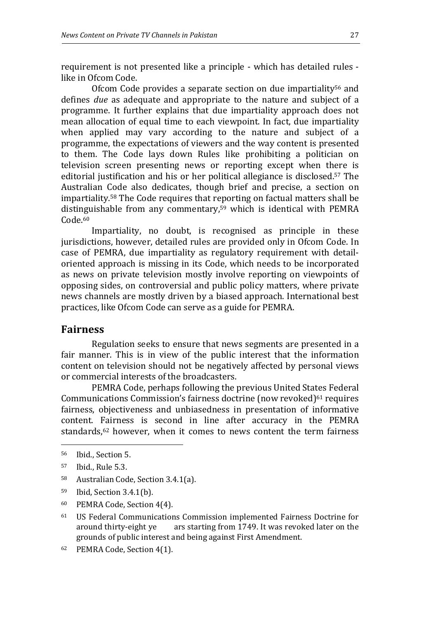requirement is not presented like a principle - which has detailed rules like in Ofcom Code.

Ofcom Code provides a separate section on due impartiality<sup>56</sup> and defines *due* as adequate and appropriate to the nature and subject of a programme. It further explains that due impartiality approach does not mean allocation of equal time to each viewpoint. In fact, due impartiality when applied may vary according to the nature and subject of a programme, the expectations of viewers and the way content is presented to them. The Code lays down Rules like prohibiting a politician on television screen presenting news or reporting except when there is editorial justification and his or her political allegiance is disclosed.57 The Australian Code also dedicates, though brief and precise, a section on impartiality.58 The Code requires that reporting on factual matters shall be distinguishable from any commentary,59 which is identical with PEMRA Code.<sup>60</sup>

Impartiality, no doubt, is recognised as principle in these jurisdictions, however, detailed rules are provided only in Ofcom Code. In case of PEMRA, due impartiality as regulatory requirement with detailoriented approach is missing in its Code, which needs to be incorporated as news on private television mostly involve reporting on viewpoints of opposing sides, on controversial and public policy matters, where private news channels are mostly driven by a biased approach. International best practices, like Ofcom Code can serve as a guide for PEMRA.

# **Fairness**

Regulation seeks to ensure that news segments are presented in a fair manner. This is in view of the public interest that the information content on television should not be negatively affected by personal views or commercial interests of the broadcasters.

PEMRA Code, perhaps following the previous United States Federal Communications Commission's fairness doctrine (now revoked) $61$  requires fairness, objectiveness and unbiasedness in presentation of informative content. Fairness is second in line after accuracy in the PEMRA standards,<sup>62</sup> however, when it comes to news content the term fairness

- <sup>58</sup> Australian Code, Section 3.4.1(a).
- <sup>59</sup> Ibid, Section 3.4.1(b).
- <sup>60</sup> PEMRA Code, Section 4(4).
- <sup>61</sup> US Federal Communications Commission implemented Fairness Doctrine for around thirty-eight ye ars starting from 1749. It was revoked later on the grounds of public interest and being against First Amendment.
- 62 PEMRA Code, Section 4(1).

<sup>56</sup> Ibid., Section 5.

<sup>57</sup> Ibid., Rule 5.3.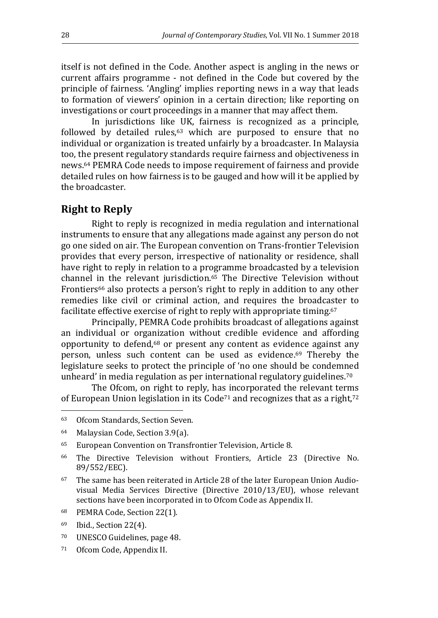itself is not defined in the Code. Another aspect is angling in the news or current affairs programme - not defined in the Code but covered by the principle of fairness. 'Angling' implies reporting news in a way that leads to formation of viewers' opinion in a certain direction; like reporting on investigations or court proceedings in a manner that may affect them.

In jurisdictions like UK, fairness is recognized as a principle, followed by detailed rules, $63$  which are purposed to ensure that no individual or organization is treated unfairly by a broadcaster. In Malaysia too, the present regulatory standards require fairness and objectiveness in news.64 PEMRA Code needs to impose requirement of fairness and provide detailed rules on how fairness is to be gauged and how will it be applied by the broadcaster.

## **Right to Reply**

Right to reply is recognized in media regulation and international instruments to ensure that any allegations made against any person do not go one sided on air. The European convention on Trans-frontier Television provides that every person, irrespective of nationality or residence, shall have right to reply in relation to a programme broadcasted by a television channel in the relevant jurisdiction.65 The Directive Television without Frontiers<sup>66</sup> also protects a person's right to reply in addition to any other remedies like civil or criminal action, and requires the broadcaster to facilitate effective exercise of right to reply with appropriate timing.<sup>67</sup>

Principally, PEMRA Code prohibits broadcast of allegations against an individual or organization without credible evidence and affording opportunity to defend,68 or present any content as evidence against any person, unless such content can be used as evidence. <sup>69</sup> Thereby the legislature seeks to protect the principle of 'no one should be condemned unheard' in media regulation as per international regulatory guidelines.<sup>70</sup>

The Ofcom, on right to reply, has incorporated the relevant terms of European Union legislation in its Code<sup> $71$ </sup> and recognizes that as a right, $72$ l

- <sup>70</sup> UNESCO Guidelines, page 48.
- 71 Ofcom Code, Appendix II.

<sup>63</sup> Ofcom Standards, Section Seven.

<sup>64</sup> Malaysian Code, Section 3.9(a).

<sup>65</sup> European Convention on Transfrontier Television, Article 8.

<sup>66</sup> The Directive Television without Frontiers, Article 23 (Directive No. 89/552/EEC).

<sup>67</sup> The same has been reiterated in Article 28 of the later European Union Audiovisual Media Services Directive (Directive 2010/13/EU), whose relevant sections have been incorporated in to Ofcom Code as Appendix II.

<sup>68</sup> PEMRA Code, Section 22(1).

<sup>69</sup> Ibid., Section 22(4).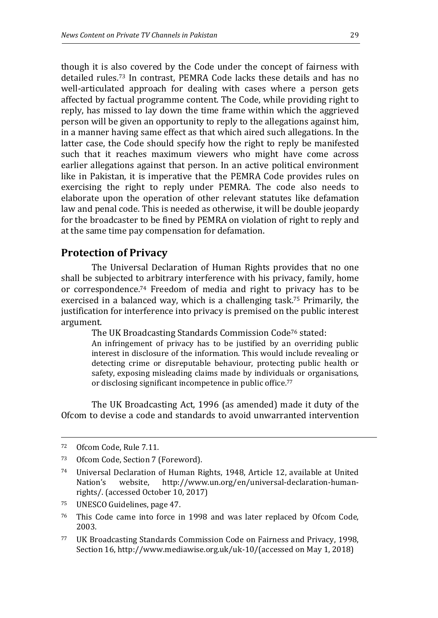though it is also covered by the Code under the concept of fairness with detailed rules.73 In contrast, PEMRA Code lacks these details and has no well-articulated approach for dealing with cases where a person gets affected by factual programme content. The Code, while providing right to reply, has missed to lay down the time frame within which the aggrieved person will be given an opportunity to reply to the allegations against him, in a manner having same effect as that which aired such allegations. In the latter case, the Code should specify how the right to reply be manifested such that it reaches maximum viewers who might have come across earlier allegations against that person. In an active political environment like in Pakistan, it is imperative that the PEMRA Code provides rules on exercising the right to reply under PEMRA. The code also needs to elaborate upon the operation of other relevant statutes like defamation law and penal code. This is needed as otherwise, it will be double jeopardy for the broadcaster to be fined by PEMRA on violation of right to reply and at the same time pay compensation for defamation.

### **Protection of Privacy**

The Universal Declaration of Human Rights provides that no one shall be subjected to arbitrary interference with his privacy, family, home or correspondence.74 Freedom of media and right to privacy has to be exercised in a balanced way, which is a challenging task.<sup>75</sup> Primarily, the justification for interference into privacy is premised on the public interest argument.

The UK Broadcasting Standards Commission Code76 stated:

An infringement of privacy has to be justified by an overriding public interest in disclosure of the information. This would include revealing or detecting crime or disreputable behaviour, protecting public health or safety, exposing misleading claims made by individuals or organisations, or disclosing significant incompetence in public office.<sup>77</sup>

The UK Broadcasting Act, 1996 (as amended) made it duty of the Ofcom to devise a code and standards to avoid unwarranted intervention

 $\overline{a}$ 

<sup>77</sup> UK Broadcasting Standards Commission Code on Fairness and Privacy, 1998, Section 16, http://www.mediawise.org.uk/uk-10/(accessed on May 1, 2018)

<sup>72</sup> Ofcom Code, Rule 7.11.

<sup>73</sup> Ofcom Code, Section 7 (Foreword).

<sup>74</sup> Universal Declaration of Human Rights, 1948, Article 12, available at United Nation's website, http://www.un.org/en/universal-declaration-humanrights/. (accessed October 10, 2017)

<sup>75</sup> UNESCO Guidelines, page 47.

<sup>76</sup> This Code came into force in 1998 and was later replaced by Ofcom Code, 2003.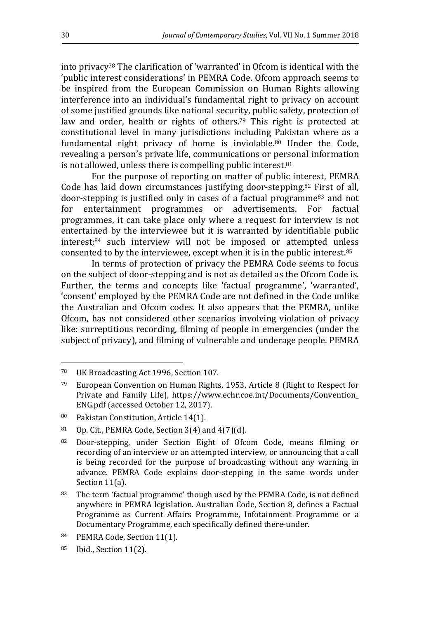into privacy78 The clarification of 'warranted' in Ofcom is identical with the 'public interest considerations' in PEMRA Code. Ofcom approach seems to be inspired from the European Commission on Human Rights allowing interference into an individual's fundamental right to privacy on account of some justified grounds like national security, public safety, protection of law and order, health or rights of others.<sup>79</sup> This right is protected at constitutional level in many jurisdictions including Pakistan where as a fundamental right privacy of home is inviolable.<sup>80</sup> Under the Code, revealing a person's private life, communications or personal information is not allowed, unless there is compelling public interest.<sup>81</sup>

For the purpose of reporting on matter of public interest, PEMRA Code has laid down circumstances justifying door-stepping.82 First of all, door-stepping is justified only in cases of a factual programme83 and not for entertainment programmes or advertisements. For factual programmes, it can take place only where a request for interview is not entertained by the interviewee but it is warranted by identifiable public interest;<sup>84</sup> such interview will not be imposed or attempted unless consented to by the interviewee, except when it is in the public interest.<sup>85</sup>

In terms of protection of privacy the PEMRA Code seems to focus on the subject of door-stepping and is not as detailed as the Ofcom Code is. Further, the terms and concepts like 'factual programme', 'warranted', 'consent' employed by the PEMRA Code are not defined in the Code unlike the Australian and Ofcom codes. It also appears that the PEMRA, unlike Ofcom, has not considered other scenarios involving violation of privacy like: surreptitious recording, filming of people in emergencies (under the subject of privacy), and filming of vulnerable and underage people. PEMRA

<sup>78</sup> UK Broadcasting Act 1996, Section 107.

<sup>79</sup> European Convention on Human Rights, 1953, Article 8 (Right to Respect for Private and Family Life), https://www.echr.coe.int/Documents/Convention\_ ENG.pdf (accessed October 12, 2017).

<sup>80</sup> Pakistan Constitution, Article 14(1).

<sup>81</sup> Op. Cit., PEMRA Code, Section  $3(4)$  and  $4(7)(d)$ .

<sup>82</sup> Door-stepping, under Section Eight of Ofcom Code, means filming or recording of an interview or an attempted interview, or announcing that a call is being recorded for the purpose of broadcasting without any warning in advance. PEMRA Code explains door-stepping in the same words under Section 11(a).

<sup>83</sup> The term 'factual programme' though used by the PEMRA Code, is not defined anywhere in PEMRA legislation. Australian Code, Section 8, defines a Factual Programme as Current Affairs Programme, Infotainment Programme or a Documentary Programme, each specifically defined there-under.

<sup>84</sup> PEMRA Code, Section 11(1).

<sup>85</sup> Ibid., Section 11(2).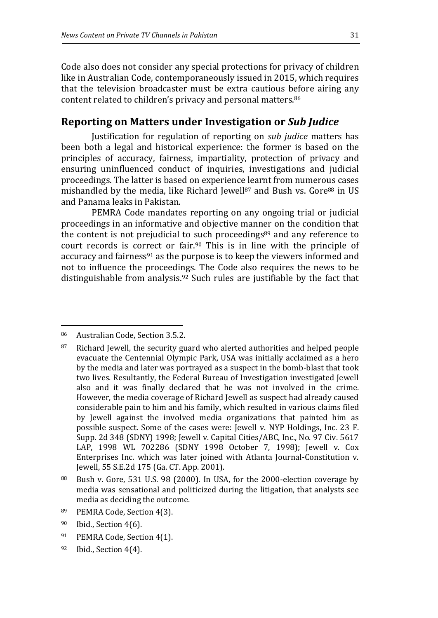Code also does not consider any special protections for privacy of children like in Australian Code, contemporaneously issued in 2015, which requires that the television broadcaster must be extra cautious before airing any content related to children's privacy and personal matters.<sup>86</sup>

## **Reporting on Matters under Investigation or** *Sub Judice*

Justification for regulation of reporting on *sub judice* matters has been both a legal and historical experience: the former is based on the principles of accuracy, fairness, impartiality, protection of privacy and ensuring uninfluenced conduct of inquiries, investigations and judicial proceedings. The latter is based on experience learnt from numerous cases mishandled by the media, like Richard Jewell<sup>87</sup> and Bush vs. Gore<sup>88</sup> in US and Panama leaks in Pakistan.

PEMRA Code mandates reporting on any ongoing trial or judicial proceedings in an informative and objective manner on the condition that the content is not prejudicial to such proceedings<sup>89</sup> and any reference to court records is correct or fair.90 This is in line with the principle of accuracy and fairness91 as the purpose is to keep the viewers informed and not to influence the proceedings. The Code also requires the news to be distinguishable from analysis.92 Such rules are justifiable by the fact that

 $\overline{a}$ 

89 PEMRA Code, Section 4(3).

<sup>91</sup> PEMRA Code, Section 4(1).

<sup>86</sup> Australian Code, Section 3.5.2.

<sup>&</sup>lt;sup>87</sup> Richard Jewell, the security guard who alerted authorities and helped people evacuate the Centennial Olympic Park, USA was initially acclaimed as a hero by the media and later was portrayed as a suspect in the bomb-blast that took two lives. Resultantly, the Federal Bureau of Investigation investigated Jewell also and it was finally declared that he was not involved in the crime. However, the media coverage of Richard Jewell as suspect had already caused considerable pain to him and his family, which resulted in various claims filed by Jewell against the involved media organizations that painted him as possible suspect. Some of the cases were: Jewell v. NYP Holdings, Inc. 23 F. Supp. 2d 348 (SDNY) 1998; Jewell v. Capital Cities/ABC, Inc., No. 97 Civ. 5617 LAP, 1998 WL 702286 (SDNY 1998 October 7, 1998); Jewell v. Cox Enterprises Inc. which was later joined with Atlanta Journal-Constitution v. Jewell, 55 S.E.2d 175 (Ga. CT. App. 2001).

<sup>88</sup> Bush v. Gore, 531 U.S. 98 (2000). In USA, for the 2000-election coverage by media was sensational and politicized during the litigation, that analysts see media as deciding the outcome.

<sup>90</sup> Ibid., Section 4(6).

 $92$  Ibid., Section 4(4).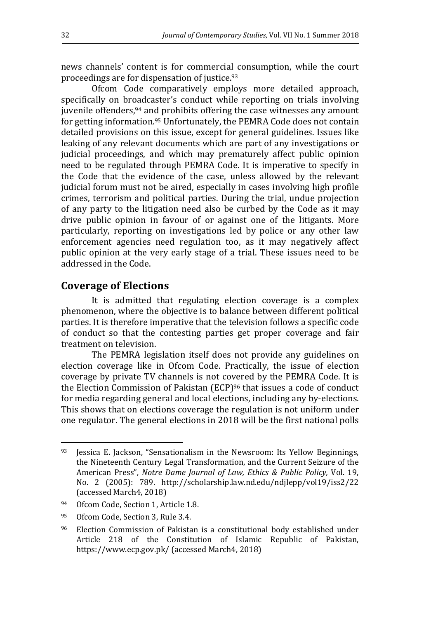news channels' content is for commercial consumption, while the court proceedings are for dispensation of justice.<sup>93</sup>

Ofcom Code comparatively employs more detailed approach, specifically on broadcaster's conduct while reporting on trials involving juvenile offenders,94 and prohibits offering the case witnesses any amount for getting information.95 Unfortunately, the PEMRA Code does not contain detailed provisions on this issue, except for general guidelines. Issues like leaking of any relevant documents which are part of any investigations or judicial proceedings, and which may prematurely affect public opinion need to be regulated through PEMRA Code. It is imperative to specify in the Code that the evidence of the case, unless allowed by the relevant judicial forum must not be aired, especially in cases involving high profile crimes, terrorism and political parties. During the trial, undue projection of any party to the litigation need also be curbed by the Code as it may drive public opinion in favour of or against one of the litigants. More particularly, reporting on investigations led by police or any other law enforcement agencies need regulation too, as it may negatively affect public opinion at the very early stage of a trial. These issues need to be addressed in the Code.

#### **Coverage of Elections**

It is admitted that regulating election coverage is a complex phenomenon, where the objective is to balance between different political parties. It is therefore imperative that the television follows a specific code of conduct so that the contesting parties get proper coverage and fair treatment on television.

The PEMRA legislation itself does not provide any guidelines on election coverage like in Ofcom Code. Practically, the issue of election coverage by private TV channels is not covered by the PEMRA Code. It is the Election Commission of Pakistan (ECP)<sup>96</sup> that issues a code of conduct for media regarding general and local elections, including any by-elections. This shows that on elections coverage the regulation is not uniform under one regulator. The general elections in 2018 will be the first national polls

 $93$  Jessica E. Jackson, "Sensationalism in the Newsroom: Its Yellow Beginnings, the Nineteenth Century Legal Transformation, and the Current Seizure of the American Press", *Notre Dame Journal of Law, Ethics & Public Policy,* Vol. 19, No. 2 (2005): 789. http://scholarship.law.nd.edu/ndjlepp/vol19/iss2/22 (accessed March4, 2018)

<sup>94</sup> Ofcom Code, Section 1, Article 1.8.

<sup>95</sup> Ofcom Code, Section 3, Rule 3.4.

<sup>96</sup> Election Commission of Pakistan is a constitutional body established under Article 218 of the Constitution of Islamic Republic of Pakistan, https://www.ecp.gov.pk/ (accessed March4, 2018)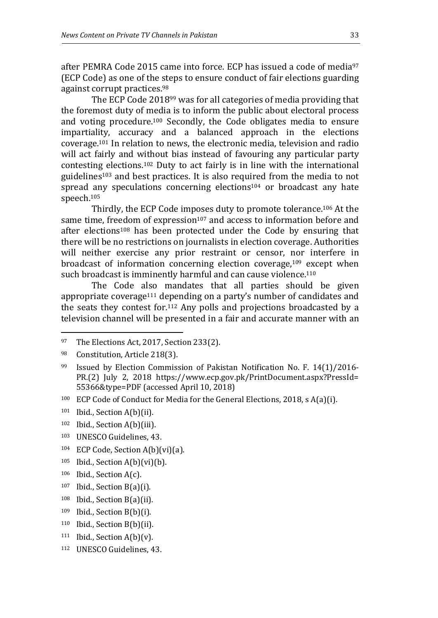after PEMRA Code 2015 came into force. ECP has issued a code of media<sup>97</sup> (ECP Code) as one of the steps to ensure conduct of fair elections guarding against corrupt practices.<sup>98</sup>

The ECP Code 201899 was for all categories of media providing that the foremost duty of media is to inform the public about electoral process and voting procedure.100 Secondly, the Code obligates media to ensure impartiality, accuracy and a balanced approach in the elections coverage.101 In relation to news, the electronic media, television and radio will act fairly and without bias instead of favouring any particular party contesting elections.102 Duty to act fairly is in line with the international guidelines103 and best practices. It is also required from the media to not spread any speculations concerning elections<sup>104</sup> or broadcast any hate speech.<sup>105</sup>

Thirdly, the ECP Code imposes duty to promote tolerance.106 At the same time, freedom of expression<sup>107</sup> and access to information before and after elections<sup>108</sup> has been protected under the Code by ensuring that there will be no restrictions on journalists in election coverage. Authorities will neither exercise any prior restraint or censor, nor interfere in broadcast of information concerning election coverage,<sup>109</sup> except when such broadcast is imminently harmful and can cause violence.<sup>110</sup>

The Code also mandates that all parties should be given appropriate coverage<sup>111</sup> depending on a party's number of candidates and the seats they contest for.112 Any polls and projections broadcasted by a television channel will be presented in a fair and accurate manner with an

- <sup>102</sup> Ibid., Section A(b)(iii).
- <sup>103</sup> UNESCO Guidelines, 43.
- 104 ECP Code, Section A(b)(vi)(a).
- $105$  Ibid., Section A(b)(vi)(b).
- <sup>106</sup> Ibid., Section A(c).
- $107$  Ibid., Section B(a)(i).
- <sup>108</sup> Ibid., Section B(a)(ii).
- <sup>109</sup> Ibid., Section B(b)(i).
- <sup>110</sup> Ibid., Section B(b)(ii).
- $111$  Ibid., Section A(b)(v).
- 112 UNESCO Guidelines, 43.

<sup>97</sup> The Elections Act, 2017, Section 233(2).

<sup>98</sup> Constitution, Article 218(3).

<sup>&</sup>lt;sup>99</sup> Issued by Election Commission of Pakistan Notification No. F. 14(1)/2016-PR.(2) July 2, 2018 https://www.ecp.gov.pk/PrintDocument.aspx?PressId= 55366&type=PDF (accessed April 10, 2018)

<sup>100</sup> ECP Code of Conduct for Media for the General Elections, 2018, s A(a)(i).

<sup>101</sup> Ibid., Section A(b)(ii).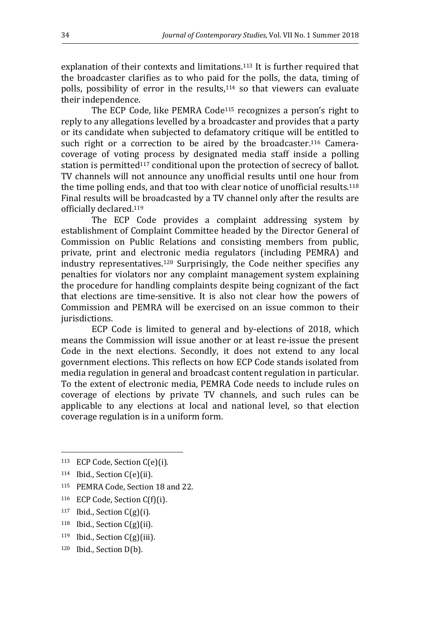explanation of their contexts and limitations.<sup>113</sup> It is further required that the broadcaster clarifies as to who paid for the polls, the data, timing of polls, possibility of error in the results,114 so that viewers can evaluate their independence.

The ECP Code, like PEMRA Code<sup>115</sup> recognizes a person's right to reply to any allegations levelled by a broadcaster and provides that a party or its candidate when subjected to defamatory critique will be entitled to such right or a correction to be aired by the broadcaster.<sup>116</sup> Cameracoverage of voting process by designated media staff inside a polling station is permitted<sup>117</sup> conditional upon the protection of secrecy of ballot. TV channels will not announce any unofficial results until one hour from the time polling ends, and that too with clear notice of unofficial results.<sup>118</sup> Final results will be broadcasted by a TV channel only after the results are officially declared.<sup>119</sup>

The ECP Code provides a complaint addressing system by establishment of Complaint Committee headed by the Director General of Commission on Public Relations and consisting members from public, private, print and electronic media regulators (including PEMRA) and industry representatives.120 Surprisingly, the Code neither specifies any penalties for violators nor any complaint management system explaining the procedure for handling complaints despite being cognizant of the fact that elections are time-sensitive. It is also not clear how the powers of Commission and PEMRA will be exercised on an issue common to their jurisdictions.

ECP Code is limited to general and by-elections of 2018, which means the Commission will issue another or at least re-issue the present Code in the next elections. Secondly, it does not extend to any local government elections. This reflects on how ECP Code stands isolated from media regulation in general and broadcast content regulation in particular. To the extent of electronic media, PEMRA Code needs to include rules on coverage of elections by private TV channels, and such rules can be applicable to any elections at local and national level, so that election coverage regulation is in a uniform form.

- <sup>116</sup> ECP Code, Section C(f)(i).
- <sup>117</sup> Ibid., Section  $C(g)(i)$ .
- $118$  Ibid., Section C(g)(ii).
- <sup>119</sup> Ibid., Section C(g)(iii).
- 120 Ibid., Section D(b).

<sup>113</sup> ECP Code, Section C(e)(i).

<sup>114</sup> Ibid., Section C(e)(ii).

<sup>115</sup> PEMRA Code, Section 18 and 22.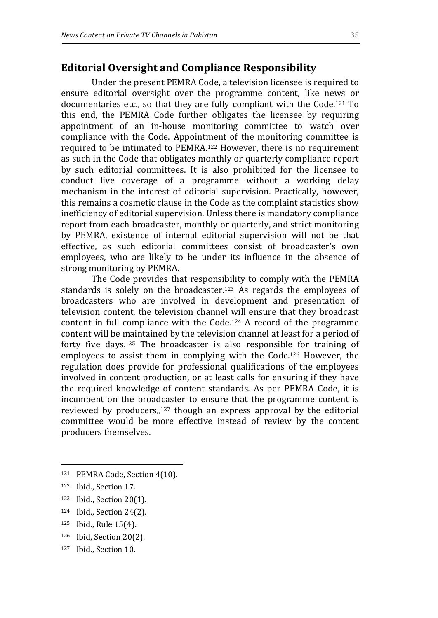## **Editorial Oversight and Compliance Responsibility**

Under the present PEMRA Code, a television licensee is required to ensure editorial oversight over the programme content, like news or documentaries etc., so that they are fully compliant with the Code.121 To this end, the PEMRA Code further obligates the licensee by requiring appointment of an in-house monitoring committee to watch over compliance with the Code. Appointment of the monitoring committee is required to be intimated to PEMRA.122 However, there is no requirement as such in the Code that obligates monthly or quarterly compliance report by such editorial committees. It is also prohibited for the licensee to conduct live coverage of a programme without a working delay mechanism in the interest of editorial supervision. Practically, however, this remains a cosmetic clause in the Code as the complaint statistics show inefficiency of editorial supervision. Unless there is mandatory compliance report from each broadcaster, monthly or quarterly, and strict monitoring by PEMRA, existence of internal editorial supervision will not be that effective, as such editorial committees consist of broadcaster's own employees, who are likely to be under its influence in the absence of strong monitoring by PEMRA.

The Code provides that responsibility to comply with the PEMRA standards is solely on the broadcaster.<sup>123</sup> As regards the employees of broadcasters who are involved in development and presentation of television content, the television channel will ensure that they broadcast content in full compliance with the Code.<sup>124</sup> A record of the programme content will be maintained by the television channel at least for a period of forty five days.125 The broadcaster is also responsible for training of employees to assist them in complying with the Code. <sup>126</sup> However, the regulation does provide for professional qualifications of the employees involved in content production, or at least calls for ensuring if they have the required knowledge of content standards. As per PEMRA Code, it is incumbent on the broadcaster to ensure that the programme content is reviewed by producers, $n^{127}$  though an express approval by the editorial committee would be more effective instead of review by the content producers themselves.

- <sup>125</sup> Ibid., Rule 15(4).
- <sup>126</sup> Ibid, Section 20(2).

<sup>121</sup> PEMRA Code, Section 4(10).

<sup>122</sup> Ibid., Section 17.

<sup>123</sup> Ibid., Section 20(1).

<sup>124</sup> Ibid., Section 24(2).

<sup>127</sup> Ibid., Section 10.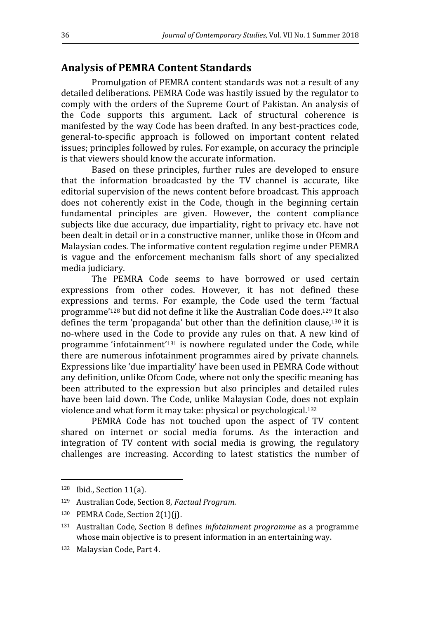#### **Analysis of PEMRA Content Standards**

Promulgation of PEMRA content standards was not a result of any detailed deliberations. PEMRA Code was hastily issued by the regulator to comply with the orders of the Supreme Court of Pakistan. An analysis of the Code supports this argument. Lack of structural coherence is manifested by the way Code has been drafted. In any best-practices code, general-to-specific approach is followed on important content related issues; principles followed by rules. For example, on accuracy the principle is that viewers should know the accurate information.

Based on these principles, further rules are developed to ensure that the information broadcasted by the TV channel is accurate, like editorial supervision of the news content before broadcast. This approach does not coherently exist in the Code, though in the beginning certain fundamental principles are given. However, the content compliance subjects like due accuracy, due impartiality, right to privacy etc. have not been dealt in detail or in a constructive manner, unlike those in Ofcom and Malaysian codes. The informative content regulation regime under PEMRA is vague and the enforcement mechanism falls short of any specialized media judiciary.

The PEMRA Code seems to have borrowed or used certain expressions from other codes. However, it has not defined these expressions and terms. For example, the Code used the term 'factual programme'128 but did not define it like the Australian Code does.129 It also defines the term 'propaganda' but other than the definition clause,130 it is no-where used in the Code to provide any rules on that. A new kind of programme 'infotainment'131 is nowhere regulated under the Code, while there are numerous infotainment programmes aired by private channels. Expressions like 'due impartiality' have been used in PEMRA Code without any definition, unlike Ofcom Code, where not only the specific meaning has been attributed to the expression but also principles and detailed rules have been laid down. The Code, unlike Malaysian Code, does not explain violence and what form it may take: physical or psychological.<sup>132</sup>

PEMRA Code has not touched upon the aspect of TV content shared on internet or social media forums. As the interaction and integration of TV content with social media is growing, the regulatory challenges are increasing. According to latest statistics the number of

<sup>128</sup> Ibid., Section 11(a).

<sup>129</sup> Australian Code, Section 8, *Factual Program*.

<sup>130</sup> PEMRA Code, Section 2(1)(j).

<sup>131</sup> Australian Code, Section 8 defines *infotainment programme* as a programme whose main objective is to present information in an entertaining way.

<sup>132</sup> Malaysian Code, Part 4.